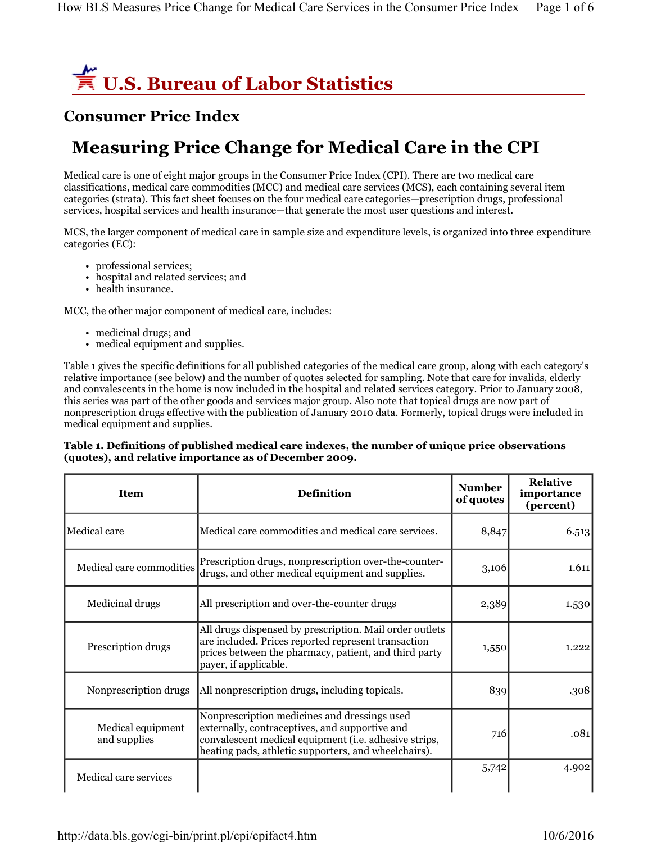

## **Consumer Price Index**

# **Measuring Price Change for Medical Care in the CPI**

Medical care is one of eight major groups in the Consumer Price Index (CPI). There are two medical care classifications, medical care commodities (MCC) and medical care services (MCS), each containing several item categories (strata). This fact sheet focuses on the four medical care categories—prescription drugs, professional services, hospital services and health insurance—that generate the most user questions and interest.

MCS, the larger component of medical care in sample size and expenditure levels, is organized into three expenditure categories (EC):

- professional services;
- hospital and related services; and
- health insurance.

MCC, the other major component of medical care, includes:

- medicinal drugs; and
- medical equipment and supplies.

Table 1 gives the specific definitions for all published categories of the medical care group, along with each category's relative importance (see below) and the number of quotes selected for sampling. Note that care for invalids, elderly and convalescents in the home is now included in the hospital and related services category. Prior to January 2008, this series was part of the other goods and services major group. Also note that topical drugs are now part of nonprescription drugs effective with the publication of January 2010 data. Formerly, topical drugs were included in medical equipment and supplies.

### **Table 1. Definitions of published medical care indexes, the number of unique price observations (quotes), and relative importance as of December 2009.**

| <b>Item</b>                       | <b>Definition</b>                                                                                                                                                                                               | <b>Number</b><br>of quotes | <b>Relative</b><br>importance<br>(percent) |
|-----------------------------------|-----------------------------------------------------------------------------------------------------------------------------------------------------------------------------------------------------------------|----------------------------|--------------------------------------------|
| Medical care                      | Medical care commodities and medical care services.                                                                                                                                                             | 8,847                      | 6.513                                      |
| Medical care commodities          | Prescription drugs, nonprescription over-the-counter-<br>drugs, and other medical equipment and supplies.                                                                                                       | 3,106                      | 1.611                                      |
| Medicinal drugs                   | All prescription and over-the-counter drugs                                                                                                                                                                     | 2,389                      | 1.530                                      |
| Prescription drugs                | All drugs dispensed by prescription. Mail order outlets<br>are included. Prices reported represent transaction<br>prices between the pharmacy, patient, and third party<br>payer, if applicable.                | 1,550                      | 1.222                                      |
| Nonprescription drugs             | All nonprescription drugs, including topicals.                                                                                                                                                                  | 839                        | .308                                       |
| Medical equipment<br>and supplies | Nonprescription medicines and dressings used<br>externally, contraceptives, and supportive and<br>convalescent medical equipment (i.e. adhesive strips,<br>heating pads, athletic supporters, and wheelchairs). |                            | .081                                       |
| Medical care services             |                                                                                                                                                                                                                 | 5,742                      | 4.902                                      |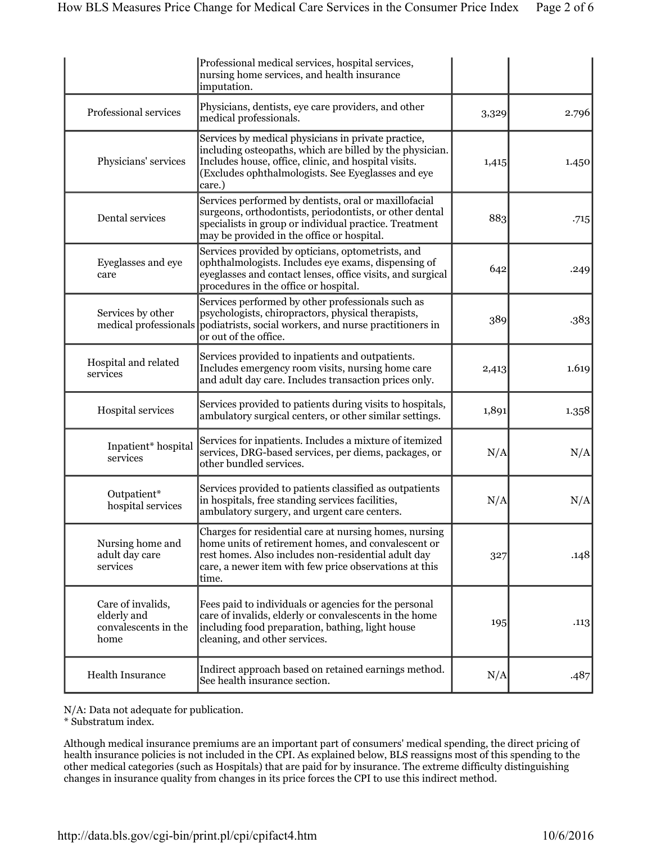|                                                                  | Professional medical services, hospital services,<br>nursing home services, and health insurance<br>imputation.                                                                                                                         |       |       |
|------------------------------------------------------------------|-----------------------------------------------------------------------------------------------------------------------------------------------------------------------------------------------------------------------------------------|-------|-------|
| Professional services                                            | Physicians, dentists, eye care providers, and other<br>medical professionals.                                                                                                                                                           | 3,329 | 2.796 |
| Physicians' services                                             | Services by medical physicians in private practice,<br>including osteopaths, which are billed by the physician.<br>Includes house, office, clinic, and hospital visits.<br>(Excludes ophthalmologists. See Eyeglasses and eye<br>care.) | 1,415 | 1.450 |
| Dental services                                                  | Services performed by dentists, oral or maxillofacial<br>surgeons, orthodontists, periodontists, or other dental<br>specialists in group or individual practice. Treatment<br>may be provided in the office or hospital.                | 883   | .715  |
| Eyeglasses and eye<br>care                                       | Services provided by opticians, optometrists, and<br>ophthalmologists. Includes eye exams, dispensing of<br>eyeglasses and contact lenses, office visits, and surgical<br>procedures in the office or hospital.                         | 642   | .249  |
| Services by other<br>medical professionals                       | Services performed by other professionals such as<br>psychologists, chiropractors, physical therapists,<br>podiatrists, social workers, and nurse practitioners in<br>or out of the office.                                             | 389   | .383  |
| Hospital and related<br>services                                 | Services provided to inpatients and outpatients.<br>Includes emergency room visits, nursing home care<br>and adult day care. Includes transaction prices only.                                                                          | 2,413 | 1.619 |
| Hospital services                                                | Services provided to patients during visits to hospitals,<br>ambulatory surgical centers, or other similar settings.                                                                                                                    | 1,891 | 1.358 |
| Inpatient* hospital<br>services                                  | Services for inpatients. Includes a mixture of itemized<br>services, DRG-based services, per diems, packages, or<br>other bundled services.                                                                                             | N/A   | N/A   |
| Outpatient*<br>hospital services                                 | Services provided to patients classified as outpatients<br>in hospitals, free standing services facilities,<br>ambulatory surgery, and urgent care centers.                                                                             | N/A   | N/A   |
| Nursing home and<br>adult day care<br>services                   | Charges for residential care at nursing homes, nursing<br>home units of retirement homes, and convalescent or<br>rest homes. Also includes non-residential adult day<br>care, a newer item with few price observations at this<br>time. | 327   | .148  |
| Care of invalids,<br>elderly and<br>convalescents in the<br>home | Fees paid to individuals or agencies for the personal<br>care of invalids, elderly or convalescents in the home<br>including food preparation, bathing, light house<br>cleaning, and other services.                                    |       | .113  |
| <b>Health Insurance</b>                                          | Indirect approach based on retained earnings method.<br>See health insurance section.                                                                                                                                                   | N/A   | .487  |

N/A: Data not adequate for publication.

\* Substratum index.

Although medical insurance premiums are an important part of consumers' medical spending, the direct pricing of health insurance policies is not included in the CPI. As explained below, BLS reassigns most of this spending to the other medical categories (such as Hospitals) that are paid for by insurance. The extreme difficulty distinguishing changes in insurance quality from changes in its price forces the CPI to use this indirect method.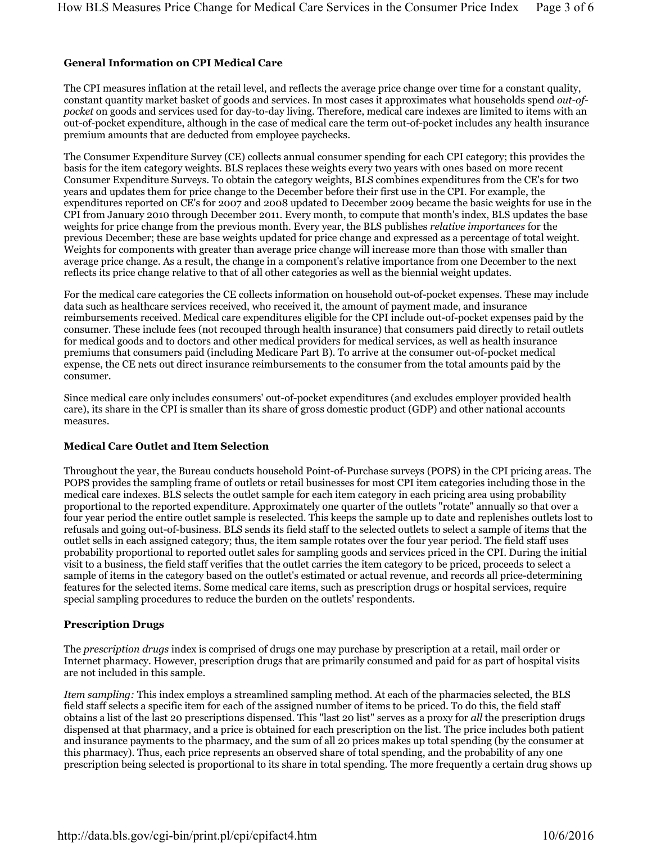#### **General Information on CPI Medical Care**

The CPI measures inflation at the retail level, and reflects the average price change over time for a constant quality, constant quantity market basket of goods and services. In most cases it approximates what households spend *out-ofpocket* on goods and services used for day-to-day living. Therefore, medical care indexes are limited to items with an out-of-pocket expenditure, although in the case of medical care the term out-of-pocket includes any health insurance premium amounts that are deducted from employee paychecks.

The Consumer Expenditure Survey (CE) collects annual consumer spending for each CPI category; this provides the basis for the item category weights. BLS replaces these weights every two years with ones based on more recent Consumer Expenditure Surveys. To obtain the category weights, BLS combines expenditures from the CE's for two years and updates them for price change to the December before their first use in the CPI. For example, the expenditures reported on CE's for 2007 and 2008 updated to December 2009 became the basic weights for use in the CPI from January 2010 through December 2011. Every month, to compute that month's index, BLS updates the base weights for price change from the previous month. Every year, the BLS publishes *relative importances* for the previous December; these are base weights updated for price change and expressed as a percentage of total weight. Weights for components with greater than average price change will increase more than those with smaller than average price change. As a result, the change in a component's relative importance from one December to the next reflects its price change relative to that of all other categories as well as the biennial weight updates.

For the medical care categories the CE collects information on household out-of-pocket expenses. These may include data such as healthcare services received, who received it, the amount of payment made, and insurance reimbursements received. Medical care expenditures eligible for the CPI include out-of-pocket expenses paid by the consumer. These include fees (not recouped through health insurance) that consumers paid directly to retail outlets for medical goods and to doctors and other medical providers for medical services, as well as health insurance premiums that consumers paid (including Medicare Part B). To arrive at the consumer out-of-pocket medical expense, the CE nets out direct insurance reimbursements to the consumer from the total amounts paid by the consumer.

Since medical care only includes consumers' out-of-pocket expenditures (and excludes employer provided health care), its share in the CPI is smaller than its share of gross domestic product (GDP) and other national accounts measures.

#### **Medical Care Outlet and Item Selection**

Throughout the year, the Bureau conducts household Point-of-Purchase surveys (POPS) in the CPI pricing areas. The POPS provides the sampling frame of outlets or retail businesses for most CPI item categories including those in the medical care indexes. BLS selects the outlet sample for each item category in each pricing area using probability proportional to the reported expenditure. Approximately one quarter of the outlets "rotate" annually so that over a four year period the entire outlet sample is reselected. This keeps the sample up to date and replenishes outlets lost to refusals and going out-of-business. BLS sends its field staff to the selected outlets to select a sample of items that the outlet sells in each assigned category; thus, the item sample rotates over the four year period. The field staff uses probability proportional to reported outlet sales for sampling goods and services priced in the CPI. During the initial visit to a business, the field staff verifies that the outlet carries the item category to be priced, proceeds to select a sample of items in the category based on the outlet's estimated or actual revenue, and records all price-determining features for the selected items. Some medical care items, such as prescription drugs or hospital services, require special sampling procedures to reduce the burden on the outlets' respondents.

#### **Prescription Drugs**

The *prescription drugs* index is comprised of drugs one may purchase by prescription at a retail, mail order or Internet pharmacy. However, prescription drugs that are primarily consumed and paid for as part of hospital visits are not included in this sample.

*Item sampling:* This index employs a streamlined sampling method. At each of the pharmacies selected, the BLS field staff selects a specific item for each of the assigned number of items to be priced. To do this, the field staff obtains a list of the last 20 prescriptions dispensed. This "last 20 list" serves as a proxy for *all* the prescription drugs dispensed at that pharmacy, and a price is obtained for each prescription on the list. The price includes both patient and insurance payments to the pharmacy, and the sum of all 20 prices makes up total spending (by the consumer at this pharmacy). Thus, each price represents an observed share of total spending, and the probability of any one prescription being selected is proportional to its share in total spending. The more frequently a certain drug shows up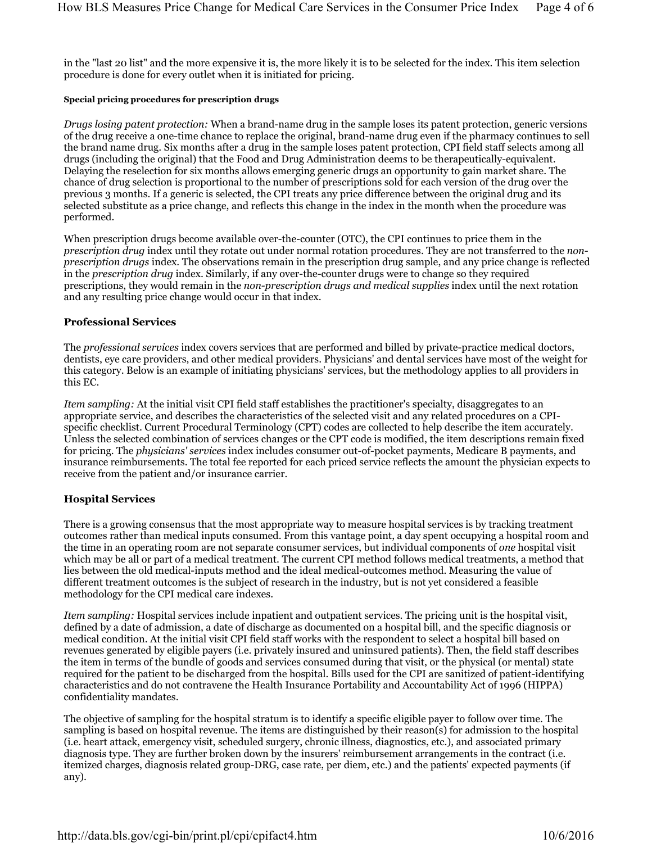in the "last 20 list" and the more expensive it is, the more likely it is to be selected for the index. This item selection procedure is done for every outlet when it is initiated for pricing.

#### **Special pricing procedures for prescription drugs**

*Drugs losing patent protection:* When a brand-name drug in the sample loses its patent protection, generic versions of the drug receive a one-time chance to replace the original, brand-name drug even if the pharmacy continues to sell the brand name drug. Six months after a drug in the sample loses patent protection, CPI field staff selects among all drugs (including the original) that the Food and Drug Administration deems to be therapeutically-equivalent. Delaying the reselection for six months allows emerging generic drugs an opportunity to gain market share. The chance of drug selection is proportional to the number of prescriptions sold for each version of the drug over the previous 3 months. If a generic is selected, the CPI treats any price difference between the original drug and its selected substitute as a price change, and reflects this change in the index in the month when the procedure was performed.

When prescription drugs become available over-the-counter (OTC), the CPI continues to price them in the *prescription drug* index until they rotate out under normal rotation procedures. They are not transferred to the *nonprescription drugs* index. The observations remain in the prescription drug sample, and any price change is reflected in the *prescription drug* index. Similarly, if any over-the-counter drugs were to change so they required prescriptions, they would remain in the *non-prescription drugs and medical supplies* index until the next rotation and any resulting price change would occur in that index.

#### **Professional Services**

The *professional services* index covers services that are performed and billed by private-practice medical doctors, dentists, eye care providers, and other medical providers. Physicians' and dental services have most of the weight for this category. Below is an example of initiating physicians' services, but the methodology applies to all providers in this EC.

*Item sampling:* At the initial visit CPI field staff establishes the practitioner's specialty, disaggregates to an appropriate service, and describes the characteristics of the selected visit and any related procedures on a CPIspecific checklist. Current Procedural Terminology (CPT) codes are collected to help describe the item accurately. Unless the selected combination of services changes or the CPT code is modified, the item descriptions remain fixed for pricing. The *physicians' services* index includes consumer out-of-pocket payments, Medicare B payments, and insurance reimbursements. The total fee reported for each priced service reflects the amount the physician expects to receive from the patient and/or insurance carrier.

#### **Hospital Services**

There is a growing consensus that the most appropriate way to measure hospital services is by tracking treatment outcomes rather than medical inputs consumed. From this vantage point, a day spent occupying a hospital room and the time in an operating room are not separate consumer services, but individual components of *one* hospital visit which may be all or part of a medical treatment. The current CPI method follows medical treatments, a method that lies between the old medical-inputs method and the ideal medical-outcomes method. Measuring the value of different treatment outcomes is the subject of research in the industry, but is not yet considered a feasible methodology for the CPI medical care indexes.

*Item sampling:* Hospital services include inpatient and outpatient services. The pricing unit is the hospital visit, defined by a date of admission, a date of discharge as documented on a hospital bill, and the specific diagnosis or medical condition. At the initial visit CPI field staff works with the respondent to select a hospital bill based on revenues generated by eligible payers (i.e. privately insured and uninsured patients). Then, the field staff describes the item in terms of the bundle of goods and services consumed during that visit, or the physical (or mental) state required for the patient to be discharged from the hospital. Bills used for the CPI are sanitized of patient-identifying characteristics and do not contravene the Health Insurance Portability and Accountability Act of 1996 (HIPPA) confidentiality mandates.

The objective of sampling for the hospital stratum is to identify a specific eligible payer to follow over time. The sampling is based on hospital revenue. The items are distinguished by their reason(s) for admission to the hospital (i.e. heart attack, emergency visit, scheduled surgery, chronic illness, diagnostics, etc.), and associated primary diagnosis type. They are further broken down by the insurers' reimbursement arrangements in the contract (i.e. itemized charges, diagnosis related group-DRG, case rate, per diem, etc.) and the patients' expected payments (if any).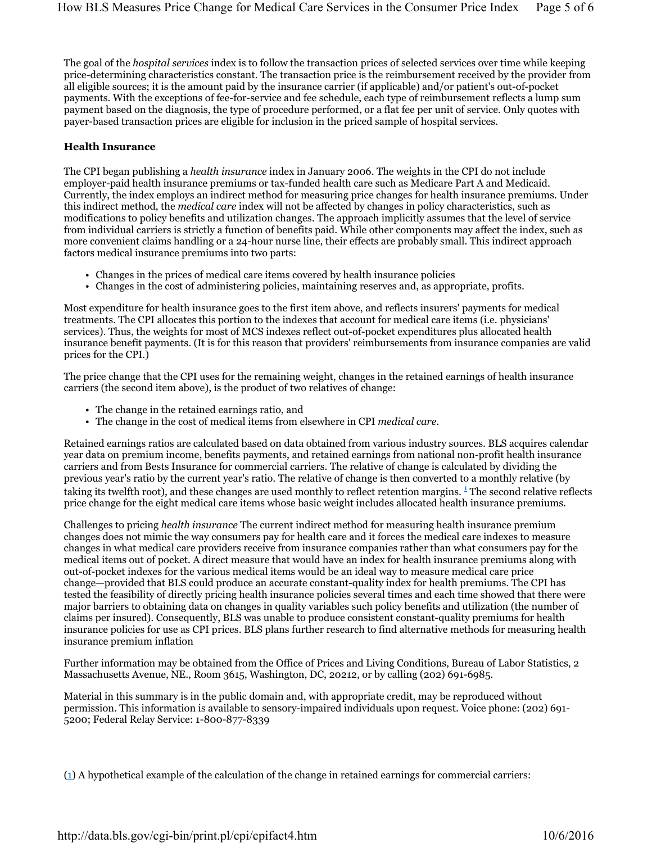The goal of the *hospital services* index is to follow the transaction prices of selected services over time while keeping price-determining characteristics constant. The transaction price is the reimbursement received by the provider from all eligible sources; it is the amount paid by the insurance carrier (if applicable) and/or patient's out-of-pocket payments. With the exceptions of fee-for-service and fee schedule, each type of reimbursement reflects a lump sum payment based on the diagnosis, the type of procedure performed, or a flat fee per unit of service. Only quotes with payer-based transaction prices are eligible for inclusion in the priced sample of hospital services.

#### **Health Insurance**

The CPI began publishing a *health insurance* index in January 2006. The weights in the CPI do not include employer-paid health insurance premiums or tax-funded health care such as Medicare Part A and Medicaid. Currently, the index employs an indirect method for measuring price changes for health insurance premiums. Under this indirect method, the *medical care* index will not be affected by changes in policy characteristics, such as modifications to policy benefits and utilization changes. The approach implicitly assumes that the level of service from individual carriers is strictly a function of benefits paid. While other components may affect the index, such as more convenient claims handling or a 24-hour nurse line, their effects are probably small. This indirect approach factors medical insurance premiums into two parts:

- Changes in the prices of medical care items covered by health insurance policies
- Changes in the cost of administering policies, maintaining reserves and, as appropriate, profits.

Most expenditure for health insurance goes to the first item above, and reflects insurers' payments for medical treatments. The CPI allocates this portion to the indexes that account for medical care items (i.e. physicians' services). Thus, the weights for most of MCS indexes reflect out-of-pocket expenditures plus allocated health insurance benefit payments. (It is for this reason that providers' reimbursements from insurance companies are valid prices for the CPI.)

The price change that the CPI uses for the remaining weight, changes in the retained earnings of health insurance carriers (the second item above), is the product of two relatives of change:

- The change in the retained earnings ratio, and
- The change in the cost of medical items from elsewhere in CPI *medical care*.

Retained earnings ratios are calculated based on data obtained from various industry sources. BLS acquires calendar year data on premium income, benefits payments, and retained earnings from national non-profit health insurance carriers and from Bests Insurance for commercial carriers. The relative of change is calculated by dividing the previous year's ratio by the current year's ratio. The relative of change is then converted to a monthly relative (by taking its twelfth root), and these changes are used monthly to reflect retention margins.<sup>1</sup> The second relative reflects price change for the eight medical care items whose basic weight includes allocated health insurance premiums.

Challenges to pricing *health insurance* The current indirect method for measuring health insurance premium changes does not mimic the way consumers pay for health care and it forces the medical care indexes to measure changes in what medical care providers receive from insurance companies rather than what consumers pay for the medical items out of pocket. A direct measure that would have an index for health insurance premiums along with out-of-pocket indexes for the various medical items would be an ideal way to measure medical care price change—provided that BLS could produce an accurate constant-quality index for health premiums. The CPI has tested the feasibility of directly pricing health insurance policies several times and each time showed that there were major barriers to obtaining data on changes in quality variables such policy benefits and utilization (the number of claims per insured). Consequently, BLS was unable to produce consistent constant-quality premiums for health insurance policies for use as CPI prices. BLS plans further research to find alternative methods for measuring health insurance premium inflation

Further information may be obtained from the Office of Prices and Living Conditions, Bureau of Labor Statistics, 2 Massachusetts Avenue, NE., Room 3615, Washington, DC, 20212, or by calling (202) 691-6985.

Material in this summary is in the public domain and, with appropriate credit, may be reproduced without permission. This information is available to sensory-impaired individuals upon request. Voice phone: (202) 691- 5200; Federal Relay Service: 1-800-877-8339

(1) A hypothetical example of the calculation of the change in retained earnings for commercial carriers: